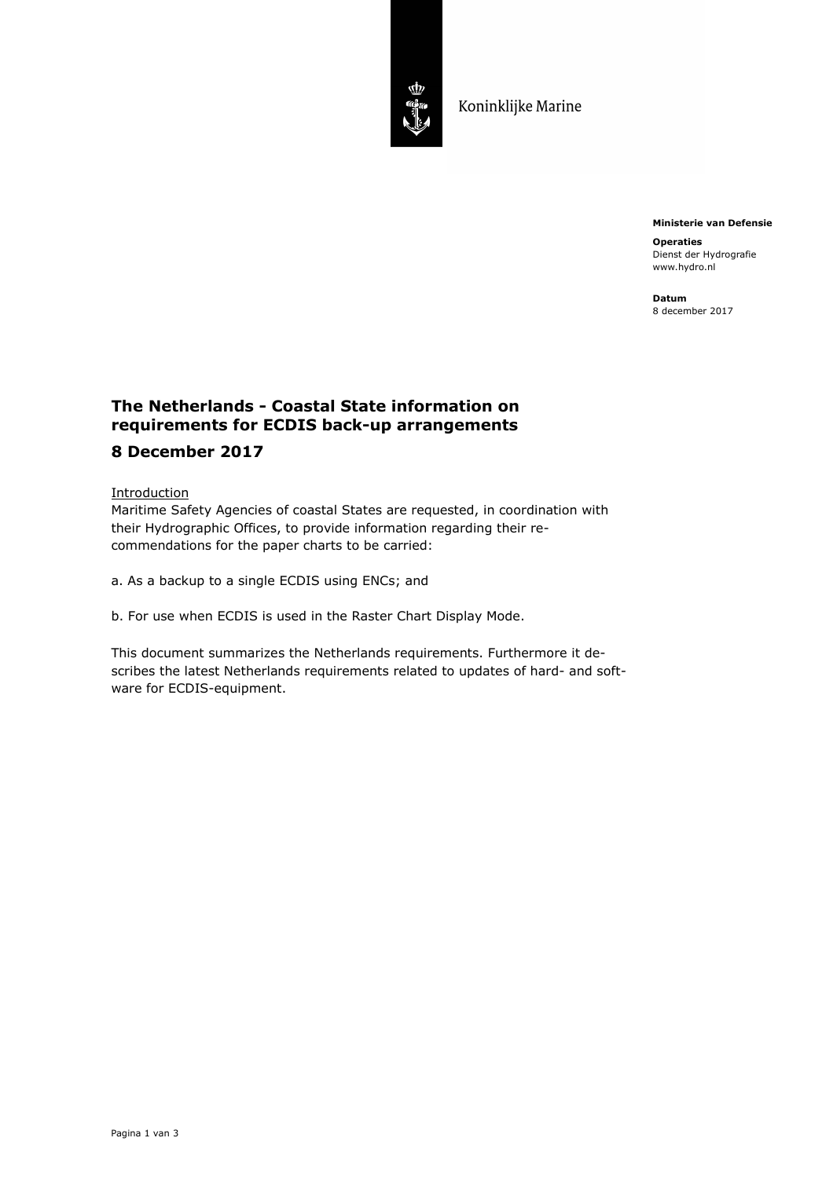

Koninklijke Marine

**Ministerie van Defensie** 

**Operaties**  Dienst der Hydrografie www.hydro.nl

**Datum**  8 december 2017

## **The Netherlands - Coastal State information on requirements for ECDIS back-up arrangements**

## **8 December 2017**

## **Introduction**

Maritime Safety Agencies of coastal States are requested, in coordination with their Hydrographic Offices, to provide information regarding their recommendations for the paper charts to be carried:

a. As a backup to a single ECDIS using ENCs; and

b. For use when ECDIS is used in the Raster Chart Display Mode.

This document summarizes the Netherlands requirements. Furthermore it describes the latest Netherlands requirements related to updates of hard- and software for ECDIS-equipment.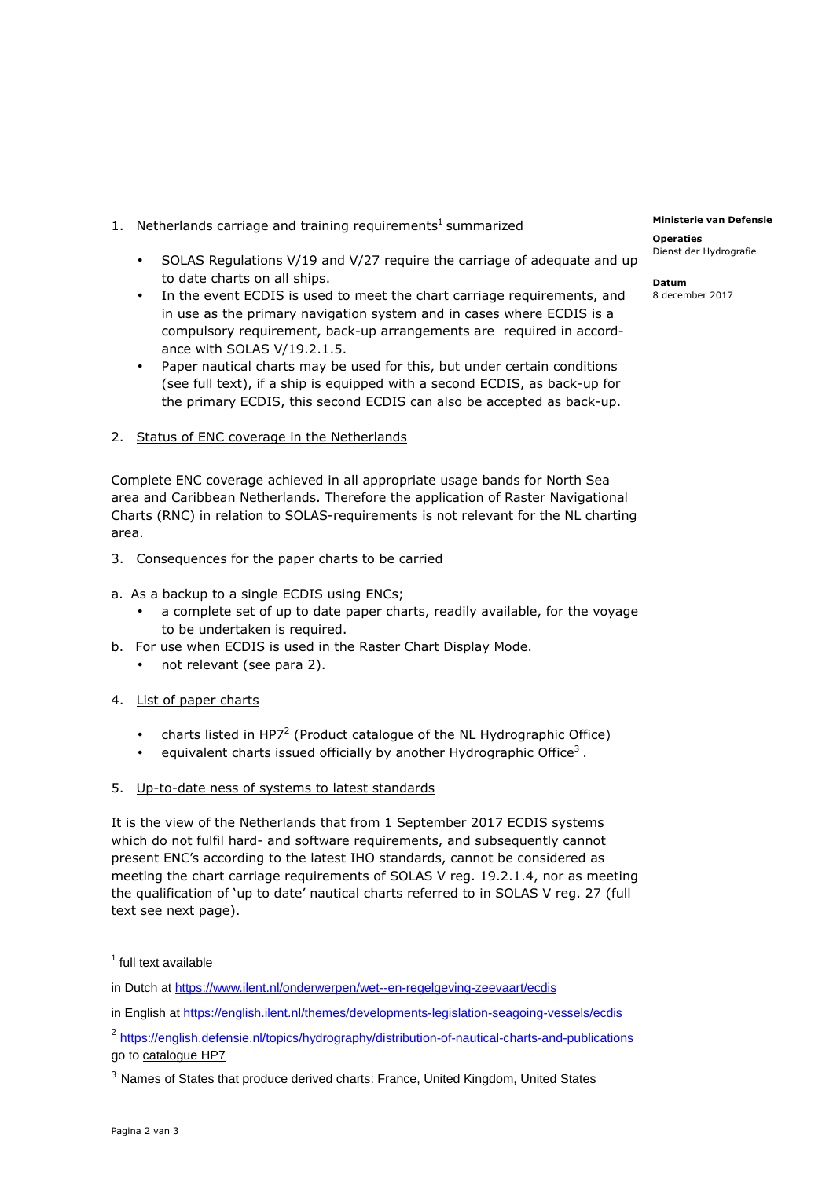- 1. Netherlands carriage and training requirements<sup>1</sup> summarized
	- SOLAS Regulations V/19 and V/27 require the carriage of adequate and up to date charts on all ships.
	- In the event ECDIS is used to meet the chart carriage requirements, and in use as the primary navigation system and in cases where ECDIS is a compulsory requirement, back-up arrangements are required in accordance with SOLAS V/19.2.1.5.
	- Paper nautical charts may be used for this, but under certain conditions (see full text), if a ship is equipped with a second ECDIS, as back-up for the primary ECDIS, this second ECDIS can also be accepted as back-up.
- 2. Status of ENC coverage in the Netherlands

Complete ENC coverage achieved in all appropriate usage bands for North Sea area and Caribbean Netherlands. Therefore the application of Raster Navigational Charts (RNC) in relation to SOLAS-requirements is not relevant for the NL charting area.

- 3. Consequences for the paper charts to be carried
- a. As a backup to a single ECDIS using ENCs;
	- a complete set of up to date paper charts, readily available, for the voyage to be undertaken is required.
- b. For use when ECDIS is used in the Raster Chart Display Mode.
	- not relevant (see para 2).
- 4. List of paper charts
	- charts listed in HP7<sup>2</sup> (Product catalogue of the NL Hydrographic Office)
	- $\bullet$  equivalent charts issued officially by another Hydrographic Office<sup>3</sup>.
- 5. Up-to-date ness of systems to latest standards

It is the view of the Netherlands that from 1 September 2017 ECDIS systems which do not fulfil hard- and software requirements, and subsequently cannot present ENC's according to the latest IHO standards, cannot be considered as meeting the chart carriage requirements of SOLAS V reg. 19.2.1.4, nor as meeting the qualification of 'up to date' nautical charts referred to in SOLAS V reg. 27 (full text see next page).

i<br>I

**Operaties**  Dienst der Hydrografie

**Datum**  8 december 2017

<sup>&</sup>lt;sup>1</sup> full text available

in Dutch at https://www.ilent.nl/onderwerpen/wet--en-regelgeving-zeevaart/ecdis

in English at https://english.ilent.nl/themes/developments-legislation-seagoing-vessels/ecdis

<sup>&</sup>lt;sup>2</sup> https://english.defensie.nl/topics/hydrography/distribution-of-nautical-charts-and-publications go to catalogue HP7

<sup>&</sup>lt;sup>3</sup> Names of States that produce derived charts: France, United Kingdom, United States